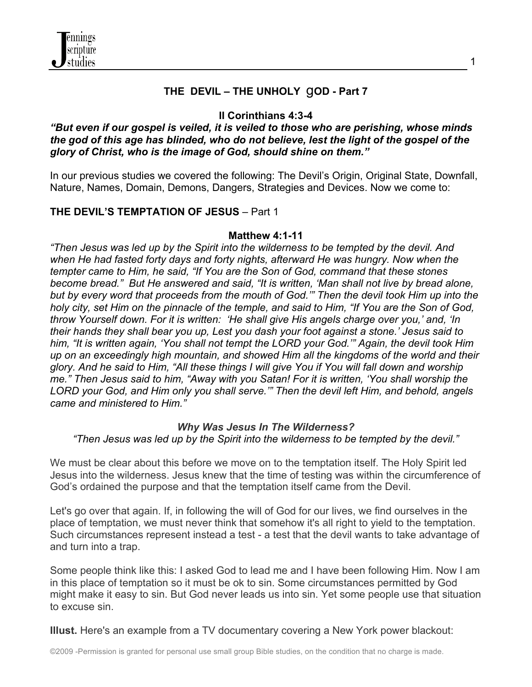

## **THE DEVIL – THE UNHOLY** g**OD - Part 7**

## **II Corinthians 4:3-4**

### *"But even if our gospel is veiled, it is veiled to those who are perishing, whose minds the god of this age has blinded, who do not believe, lest the light of the gospel of the glory of Christ, who is the image of God, should shine on them."*

In our previous studies we covered the following: The Devil's Origin, Original State, Downfall, Nature, Names, Domain, Demons, Dangers, Strategies and Devices. Now we come to:

## **THE DEVIL'S TEMPTATION OF JESUS** – Part 1

### **Matthew 4:1-11**

*"Then Jesus was led up by the Spirit into the wilderness to be tempted by the devil. And when He had fasted forty days and forty nights, afterward He was hungry. Now when the tempter came to Him, he said, "If You are the Son of God, command that these stones become bread." But He answered and said, "It is written, 'Man shall not live by bread alone, but by every word that proceeds from the mouth of God.'" Then the devil took Him up into the holy city, set Him on the pinnacle of the temple, and said to Him, "If You are the Son of God, throw Yourself down. For it is written: 'He shall give His angels charge over you,' and, 'In their hands they shall bear you up, Lest you dash your foot against a stone.' Jesus said to him, "It is written again, 'You shall not tempt the LORD your God.'" Again, the devil took Him up on an exceedingly high mountain, and showed Him all the kingdoms of the world and their glory. And he said to Him, "All these things I will give You if You will fall down and worship me." Then Jesus said to him, "Away with you Satan! For it is written, 'You shall worship the LORD your God, and Him only you shall serve.'" Then the devil left Him, and behold, angels came and ministered to Him."*

#### *Why Was Jesus In The Wilderness?*

*"Then Jesus was led up by the Spirit into the wilderness to be tempted by the devil."*

We must be clear about this before we move on to the temptation itself. The Holy Spirit led Jesus into the wilderness. Jesus knew that the time of testing was within the circumference of God's ordained the purpose and that the temptation itself came from the Devil.

Let's go over that again. If, in following the will of God for our lives, we find ourselves in the place of temptation, we must never think that somehow it's all right to yield to the temptation. Such circumstances represent instead a test - a test that the devil wants to take advantage of and turn into a trap.

Some people think like this: I asked God to lead me and I have been following Him. Now I am in this place of temptation so it must be ok to sin. Some circumstances permitted by God might make it easy to sin. But God never leads us into sin. Yet some people use that situation to excuse sin.

**Illust.** Here's an example from a TV documentary covering a New York power blackout: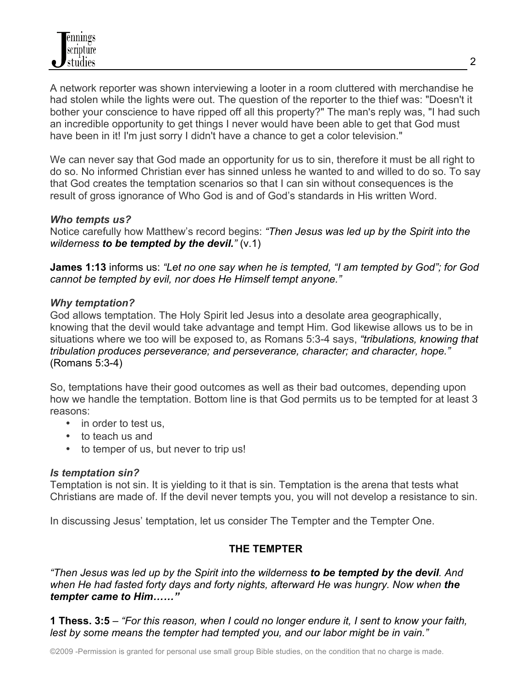A network reporter was shown interviewing a looter in a room cluttered with merchandise he had stolen while the lights were out. The question of the reporter to the thief was: "Doesn't it bother your conscience to have ripped off all this property?" The man's reply was, "I had such an incredible opportunity to get things I never would have been able to get that God must have been in it! I'm just sorry I didn't have a chance to get a color television."

We can never say that God made an opportunity for us to sin, therefore it must be all right to do so. No informed Christian ever has sinned unless he wanted to and willed to do so. To say that God creates the temptation scenarios so that I can sin without consequences is the result of gross ignorance of Who God is and of God's standards in His written Word.

### *Who tempts us?*

Notice carefully how Matthew's record begins: *"Then Jesus was led up by the Spirit into the wilderness to be tempted by the devil."* (v.1)

**James 1:13** informs us: *"Let no one say when he is tempted, "I am tempted by God"; for God cannot be tempted by evil, nor does He Himself tempt anyone."*

### *Why temptation?*

God allows temptation. The Holy Spirit led Jesus into a desolate area geographically, knowing that the devil would take advantage and tempt Him. God likewise allows us to be in situations where we too will be exposed to, as Romans 5:3-4 says, *"tribulations, knowing that tribulation produces perseverance; and perseverance, character; and character, hope."* (Romans 5:3-4)

So, temptations have their good outcomes as well as their bad outcomes, depending upon how we handle the temptation. Bottom line is that God permits us to be tempted for at least 3 reasons:

- in order to test us,
- to teach us and
- to temper of us, but never to trip us!

### *Is temptation sin?*

Temptation is not sin. It is yielding to it that is sin. Temptation is the arena that tests what Christians are made of. If the devil never tempts you, you will not develop a resistance to sin.

In discussing Jesus' temptation, let us consider The Tempter and the Tempter One.

## **THE TEMPTER**

*"Then Jesus was led up by the Spirit into the wilderness to be tempted by the devil. And*  when He had fasted forty days and forty nights, afterward He was hungry. Now when **the** *tempter came to Him……"*

**1 Thess. 3:5** – *"For this reason, when I could no longer endure it, I sent to know your faith, lest by some means the tempter had tempted you, and our labor might be in vain."*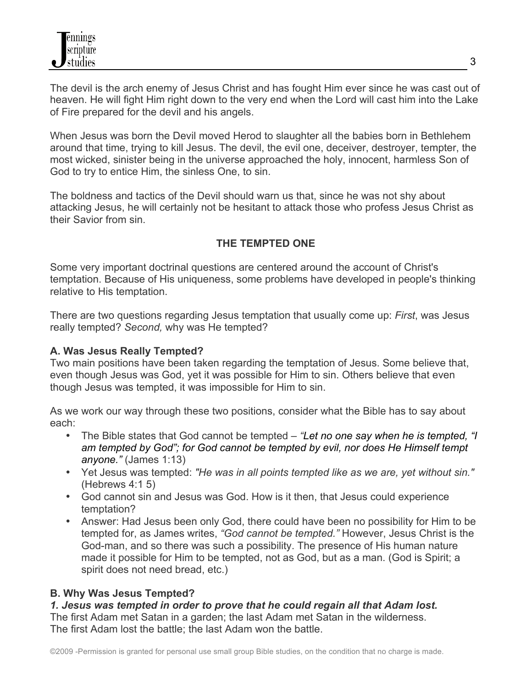The devil is the arch enemy of Jesus Christ and has fought Him ever since he was cast out of heaven. He will fight Him right down to the very end when the Lord will cast him into the Lake of Fire prepared for the devil and his angels.

When Jesus was born the Devil moved Herod to slaughter all the babies born in Bethlehem around that time, trying to kill Jesus. The devil, the evil one, deceiver, destroyer, tempter, the most wicked, sinister being in the universe approached the holy, innocent, harmless Son of God to try to entice Him, the sinless One, to sin.

The boldness and tactics of the Devil should warn us that, since he was not shy about attacking Jesus, he will certainly not be hesitant to attack those who profess Jesus Christ as their Savior from sin.

# **THE TEMPTED ONE**

Some very important doctrinal questions are centered around the account of Christ's temptation. Because of His uniqueness, some problems have developed in people's thinking relative to His temptation.

There are two questions regarding Jesus temptation that usually come up: *First*, was Jesus really tempted? *Second,* why was He tempted?

## **A. Was Jesus Really Tempted?**

Two main positions have been taken regarding the temptation of Jesus. Some believe that, even though Jesus was God, yet it was possible for Him to sin. Others believe that even though Jesus was tempted, it was impossible for Him to sin.

As we work our way through these two positions, consider what the Bible has to say about each:

- The Bible states that God cannot be tempted *"Let no one say when he is tempted, "I am tempted by God"; for God cannot be tempted by evil, nor does He Himself tempt anyone."* (James 1:13)
- Yet Jesus was tempted: *"He was in all points tempted like as we are, yet without sin."* (Hebrews 4:1 5)
- God cannot sin and Jesus was God. How is it then, that Jesus could experience temptation?
- Answer: Had Jesus been only God, there could have been no possibility for Him to be tempted for, as James writes, *"God cannot be tempted."* However, Jesus Christ is the God-man, and so there was such a possibility. The presence of His human nature made it possible for Him to be tempted, not as God, but as a man. (God is Spirit; a spirit does not need bread, etc.)

# **B. Why Was Jesus Tempted?**

#### *1. Jesus was tempted in order to prove that he could regain all that Adam lost.* The first Adam met Satan in a garden; the last Adam met Satan in the wilderness.

The first Adam lost the battle; the last Adam won the battle.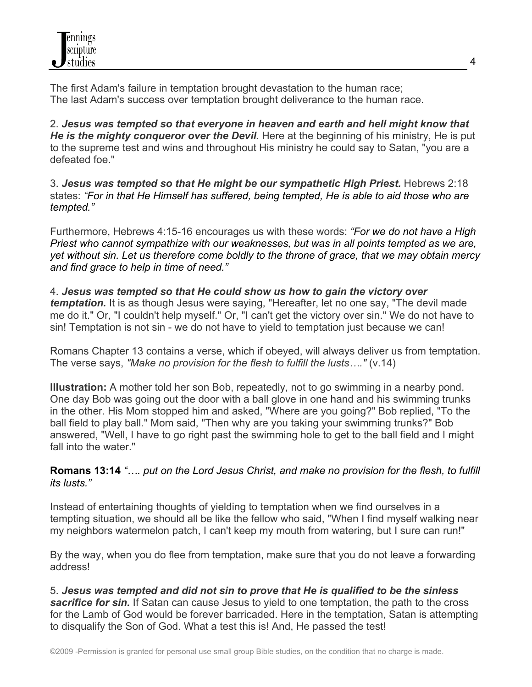The first Adam's failure in temptation brought devastation to the human race; The last Adam's success over temptation brought deliverance to the human race.

2. *Jesus was tempted so that everyone in heaven and earth and hell might know that He is the mighty conqueror over the Devil.* Here at the beginning of his ministry, He is put to the supreme test and wins and throughout His ministry he could say to Satan, "you are a defeated foe."

3. *Jesus was tempted so that He might be our sympathetic High Priest.* Hebrews 2:18 states: *"For in that He Himself has suffered, being tempted, He is able to aid those who are tempted."*

Furthermore, Hebrews 4:15-16 encourages us with these words: *"For we do not have a High Priest who cannot sympathize with our weaknesses, but was in all points tempted as we are, yet without sin. Let us therefore come boldly to the throne of grace, that we may obtain mercy and find grace to help in time of need."*

4. *Jesus was tempted so that He could show us how to gain the victory over temptation.* It is as though Jesus were saying, "Hereafter, let no one say, "The devil made me do it." Or, "I couldn't help myself." Or, "I can't get the victory over sin." We do not have to sin! Temptation is not sin - we do not have to yield to temptation just because we can!

Romans Chapter 13 contains a verse, which if obeyed, will always deliver us from temptation. The verse says, *"Make no provision for the flesh to fulfill the lusts…."* (v.14)

**Illustration:** A mother told her son Bob, repeatedly, not to go swimming in a nearby pond. One day Bob was going out the door with a ball glove in one hand and his swimming trunks in the other. His Mom stopped him and asked, "Where are you going?" Bob replied, "To the ball field to play ball." Mom said, "Then why are you taking your swimming trunks?" Bob answered, "Well, I have to go right past the swimming hole to get to the ball field and I might fall into the water."

**Romans 13:14** *"…. put on the Lord Jesus Christ, and make no provision for the flesh, to fulfill its lusts."*

Instead of entertaining thoughts of yielding to temptation when we find ourselves in a tempting situation, we should all be like the fellow who said, "When I find myself walking near my neighbors watermelon patch, I can't keep my mouth from watering, but I sure can run!"

By the way, when you do flee from temptation, make sure that you do not leave a forwarding address!

5. *Jesus was tempted and did not sin to prove that He is qualified to be the sinless*  **sacrifice for sin.** If Satan can cause Jesus to yield to one temptation, the path to the cross for the Lamb of God would be forever barricaded. Here in the temptation, Satan is attempting to disqualify the Son of God. What a test this is! And, He passed the test!